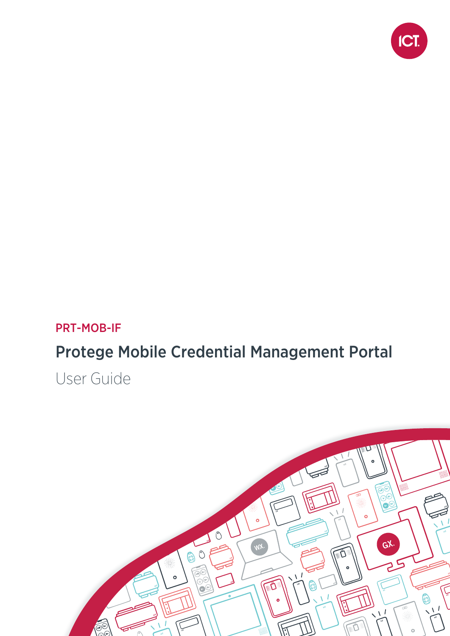

#### PRT-MOB-IF

## Protege Mobile Credential Management Portal

User Guide

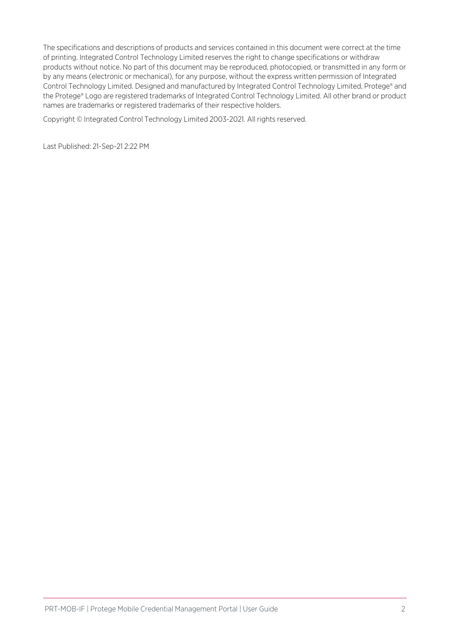The specifications and descriptions of products and services contained in this document were correct at the time of printing. Integrated Control Technology Limited reserves the right to change specifications or withdraw products without notice. No part of this document may be reproduced, photocopied, or transmitted in any form or by any means (electronic or mechanical), for any purpose, without the express written permission of Integrated Control Technology Limited. Designed and manufactured by Integrated Control Technology Limited, Protege® and the Protege® Logo are registered trademarks of Integrated Control Technology Limited. All other brand or product names are trademarks or registered trademarks of their respective holders.

Copyright © Integrated Control Technology Limited 2003-2021. All rights reserved.

Last Published: 21-Sep-21 2:22 PM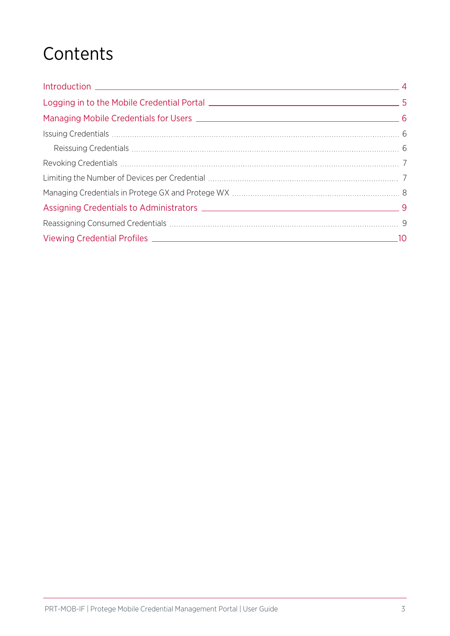## **Contents**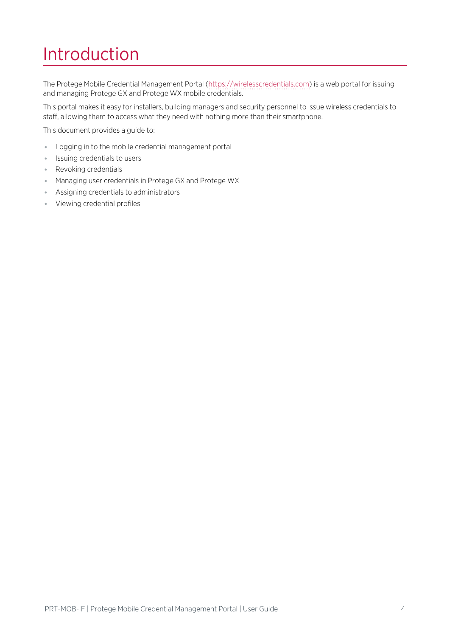## <span id="page-3-0"></span>Introduction

The Protege Mobile Credential Management Portal ([https://wirelesscredentials.com](https://wirelesscredentials.com/)) is a web portal for issuing and managing Protege GX and Protege WX mobile credentials.

This portal makes it easy for installers, building managers and security personnel to issue wireless credentials to staff, allowing them to access what they need with nothing more than their smartphone.

This document provides a guide to:

- ⦁ Logging in to the mobile credential management portal
- ⦁ Issuing credentials to users
- ⦁ Revoking credentials
- ⦁ Managing user credentials in Protege GX and Protege WX
- ⦁ Assigning credentials to administrators
- ⦁ Viewing credential profiles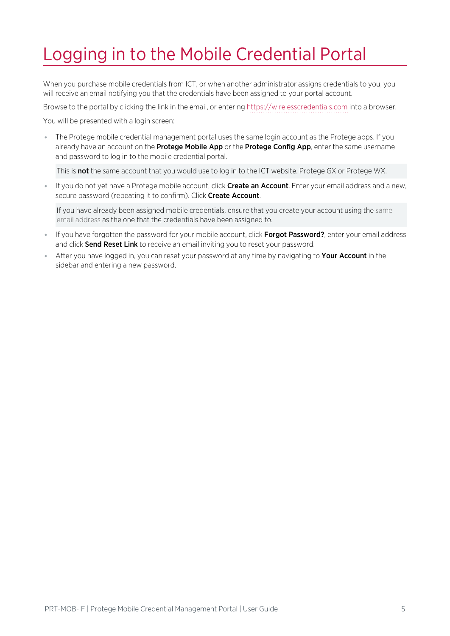## <span id="page-4-0"></span>Logging in to the Mobile Credential Portal

When you purchase mobile credentials from ICT, or when another administrator assigns credentials to you, you will receive an email notifying you that the credentials have been assigned to your portal account.

Browse to the portal by clicking the link in the email, or entering [https://wirelesscredentials.com](https://wirelesscredentials.com/) into a browser.

You will be presented with a login screen:

⦁ The Protege mobile credential management portal uses the same login account as the Protege apps. If you already have an account on the Protege Mobile App or the Protege Config App, enter the same username and password to log in to the mobile credential portal.

This is not the same account that you would use to log in to the ICT website, Protege GX or Protege WX.

If you do not yet have a Protege mobile account, click Create an Account. Enter your email address and a new, secure password (repeating it to confirm). Click Create Account.

If you have already been assigned mobile credentials, ensure that you create your account using the same email address as the one that the credentials have been assigned to.

- If you have forgotten the password for your mobile account, click Forgot Password?, enter your email address and click **Send Reset Link** to receive an email inviting you to reset your password.
- After you have logged in, you can reset your password at any time by navigating to **Your Account** in the sidebar and entering a new password.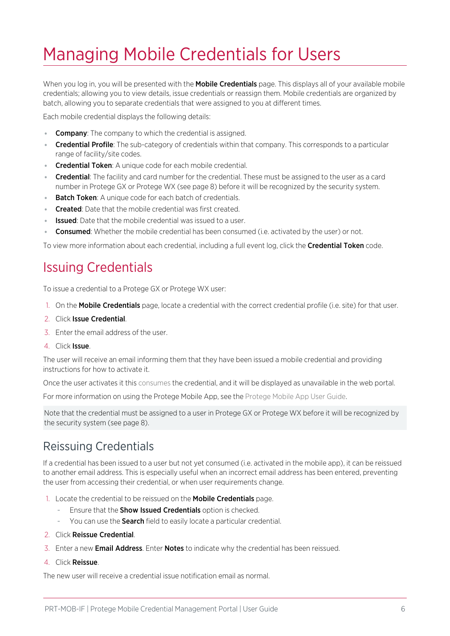## <span id="page-5-0"></span>Managing Mobile Credentials for Users

When you log in, you will be presented with the **Mobile Credentials** page. This displays all of your available mobile credentials; allowing you to view details, issue credentials or reassign them. Mobile credentials are organized by batch, allowing you to separate credentials that were assigned to you at different times.

Each mobile credential displays the following details:

- **Company**: The company to which the credential is assigned.
- Credential Profile: The sub-category of credentials within that company. This corresponds to a particular range of facility/site codes.
- **Credential Token:** A unique code for each mobile credential.
- **Credential**: The facility and card number for the credential. These must be assigned to the user as a card number in Protege GX or Protege WX (see [page 8\)](#page-7-0) before it will be recognized by the security system.
- **Batch Token:** A unique code for each batch of credentials.
- **Created:** Date that the mobile credential was first created.
- **Issued:** Date that the mobile credential was issued to a user.
- . Consumed: Whether the mobile credential has been consumed (i.e. activated by the user) or not.

<span id="page-5-1"></span>To view more information about each credential, including a full event log, click the **Credential Token** code.

#### Issuing Credentials

To issue a credential to a Protege GX or Protege WX user:

- 1. On the **Mobile Credentials** page, locate a credential with the correct credential profile (i.e. site) for that user.
- 2. Click Issue Credential.
- 3. Enter the email address of the user.
- 4. Click Issue.

The user will receive an email informing them that they have been issued a mobile credential and providing instructions for how to activate it.

Once the user activates it this consumes the credential, and it will be displayed as unavailable in the web portal.

For more information on using the Protege Mobile App, see the Protege Mobile App User Guide.

Note that the credential must be assigned to a user in Protege GX or Protege WX before it will be recognized by the security system (see [page 8\).](#page-7-0)

#### <span id="page-5-2"></span>Reissuing Credentials

If a credential has been issued to a user but not yet consumed (i.e. activated in the mobile app), it can be reissued to another email address. This is especially useful when an incorrect email address has been entered, preventing the user from accessing their credential, or when user requirements change.

- 1. Locate the credential to be reissued on the Mobile Credentials page.
	- Ensure that the **Show Issued Credentials** option is checked.
	- You can use the **Search** field to easily locate a particular credential.
- 2. Click Reissue Credential.
- 3. Enter a new Email Address. Enter Notes to indicate why the credential has been reissued.
- 4. Click Reissue.

The new user will receive a credential issue notification email as normal.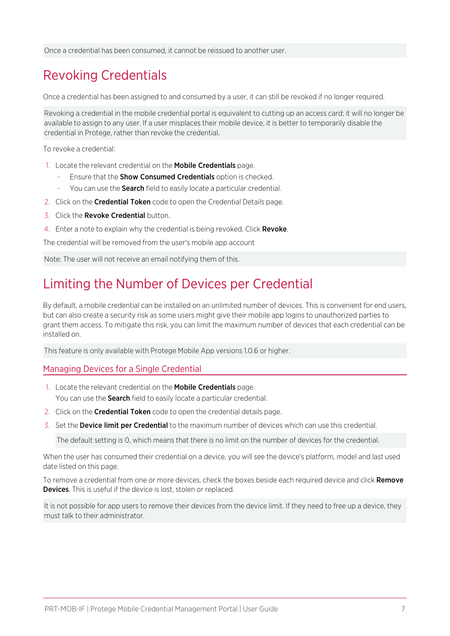<span id="page-6-0"></span>Once a credential has been consumed, it cannot be reissued to another user.

### Revoking Credentials

Once a credential has been assigned to and consumed by a user, it can still be revoked if no longer required.

Revoking a credential in the mobile credential portal is equivalent to cutting up an access card; it will no longer be available to assign to any user. If a user misplaces their mobile device, it is better to temporarily disable the credential in Protege, rather than revoke the credential.

To revoke a credential:

- 1. Locate the relevant credential on the Mobile Credentials page.
	- Ensure that the **Show Consumed Credentials** option is checked.
	- You can use the **Search** field to easily locate a particular credential.
- 2. Click on the **Credential Token** code to open the Credential Details page.
- 3. Click the Revoke Credential button.
- 4. Enter a note to explain why the credential is being revoked. Click Revoke.

The credential will be removed from the user's mobile app account

<span id="page-6-1"></span>Note: The user will not receive an email notifying them of this.

#### Limiting the Number of Devices per Credential

By default, a mobile credential can be installed on an unlimited number of devices. This is convenient for end users, but can also create a security risk as some users might give their mobile app logins to unauthorized parties to grant them access. To mitigate this risk, you can limit the maximum number of devices that each credential can be installed on.

This feature is only available with Protege Mobile App versions 1.0.6 or higher.

#### Managing Devices for a Single Credential

- 1. Locate the relevant credential on the Mobile Credentials page. You can use the **Search** field to easily locate a particular credential.
- 2. Click on the **Credential Token** code to open the credential details page.
- 3. Set the Device limit per Credential to the maximum number of devices which can use this credential.

The default setting is 0, which means that there is no limit on the number of devices for the credential.

When the user has consumed their credential on a device, you will see the device's platform, model and last used date listed on this page.

To remove a credential from one or more devices, check the boxes beside each required device and click Remove **Devices**. This is useful if the device is lost, stolen or replaced.

It is not possible for app users to remove their devices from the device limit. If they need to free up a device, they must talk to their administrator.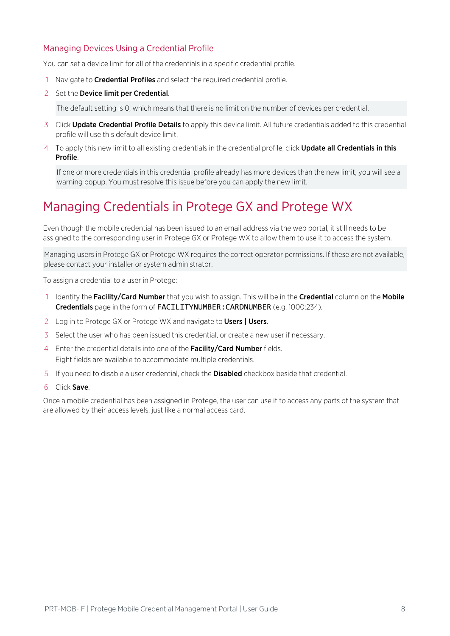#### Managing Devices Using a Credential Profile

You can set a device limit for all of the credentials in a specific credential profile.

- 1. Navigate to **Credential Profiles** and select the required credential profile.
- 2. Set the Device limit per Credential.

The default setting is 0, which means that there is no limit on the number of devices per credential.

- 3. Click Update Credential Profile Details to apply this device limit. All future credentials added to this credential profile will use this default device limit.
- 4. To apply this new limit to all existing credentials in the credential profile, click **Update all Credentials in this** Profile.

If one or more credentials in this credential profile already has more devices than the new limit, you will see a warning popup. You must resolve this issue before you can apply the new limit.

### <span id="page-7-0"></span>Managing Credentials in Protege GX and Protege WX

Even though the mobile credential has been issued to an email address via the web portal, it still needs to be assigned to the corresponding user in Protege GX or Protege WX to allow them to use it to access the system.

Managing users in Protege GX or Protege WX requires the correct operator permissions. If these are not available, please contact your installer or system administrator.

To assign a credential to a user in Protege:

- 1. Identify the Facility/Card Number that you wish to assign. This will be in the Credential column on the Mobile Credentials page in the form of FACILITYNUMBER:CARDNUMBER (e.g. 1000:234).
- 2. Log in to Protege GX or Protege WX and navigate to Users | Users.
- 3. Select the user who has been issued this credential, or create a new user if necessary.
- 4. Enter the credential details into one of the Facility/Card Number fields. Eight fields are available to accommodate multiple credentials.
- 5. If you need to disable a user credential, check the Disabled checkbox beside that credential.
- 6. Click Save.

Once a mobile credential has been assigned in Protege, the user can use it to access any parts of the system that are allowed by their access levels, just like a normal access card.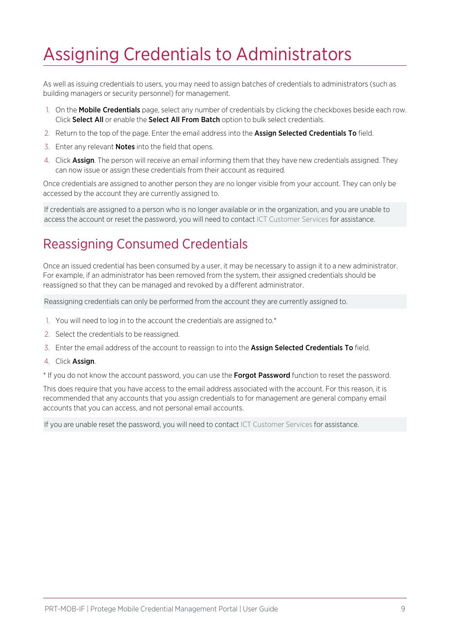## <span id="page-8-0"></span>Assigning Credentials to Administrators

As well as issuing credentials to users, you may need to assign batches of credentials to administrators (such as building managers or security personnel) for management.

- 1. On the **Mobile Credentials** page, select any number of credentials by clicking the checkboxes beside each row. Click Select All or enable the Select All From Batch option to bulk select credentials.
- 2. Return to the top of the page. Enter the email address into the **Assign Selected Credentials To** field.
- 3. Enter any relevant **Notes** into the field that opens.
- 4. Click Assign. The person will receive an email informing them that they have new credentials assigned. They can now issue or assign these credentials from their account as required.

Once credentials are assigned to another person they are no longer visible from your account. They can only be accessed by the account they are currently assigned to.

<span id="page-8-1"></span>If credentials are assigned to a person who is no longer available or in the organization, and you are unable to access the account or reset the password, you will need to contact ICT Customer Services for assistance.

### Reassigning Consumed Credentials

Once an issued credential has been consumed by a user, it may be necessary to assign it to a new administrator. For example, if an administrator has been removed from the system, their assigned credentials should be reassigned so that they can be managed and revoked by a different administrator.

Reassigning credentials can only be performed from the account they are currently assigned to.

- 1. You will need to log in to the account the credentials are assigned to.\*
- 2. Select the credentials to be reassigned.
- 3. Enter the email address of the account to reassign to into the Assign Selected Credentials To field.
- 4. Click Assign.

\* If you do not know the account password, you can use the Forgot Password function to reset the password.

This does require that you have access to the email address associated with the account. For this reason, it is recommended that any accounts that you assign credentials to for management are general company email accounts that you can access, and not personal email accounts.

If you are unable reset the password, you will need to contact ICT Customer Services for assistance.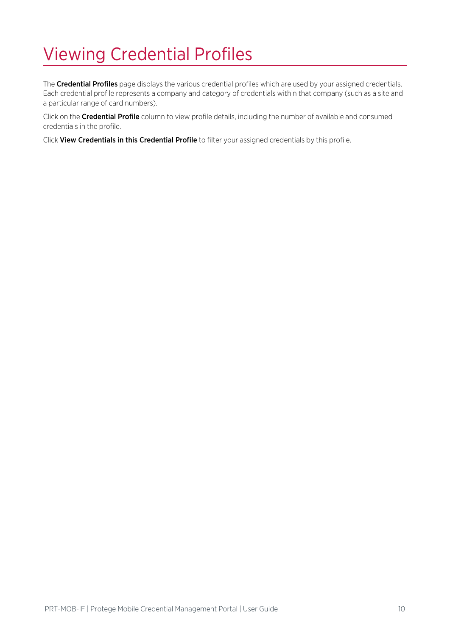# <span id="page-9-0"></span>Viewing Credential Profiles

The Credential Profiles page displays the various credential profiles which are used by your assigned credentials. Each credential profile represents a company and category of credentials within that company (such as a site and a particular range of card numbers).

Click on the Credential Profile column to view profile details, including the number of available and consumed credentials in the profile.

Click View Credentials in this Credential Profile to filter your assigned credentials by this profile.